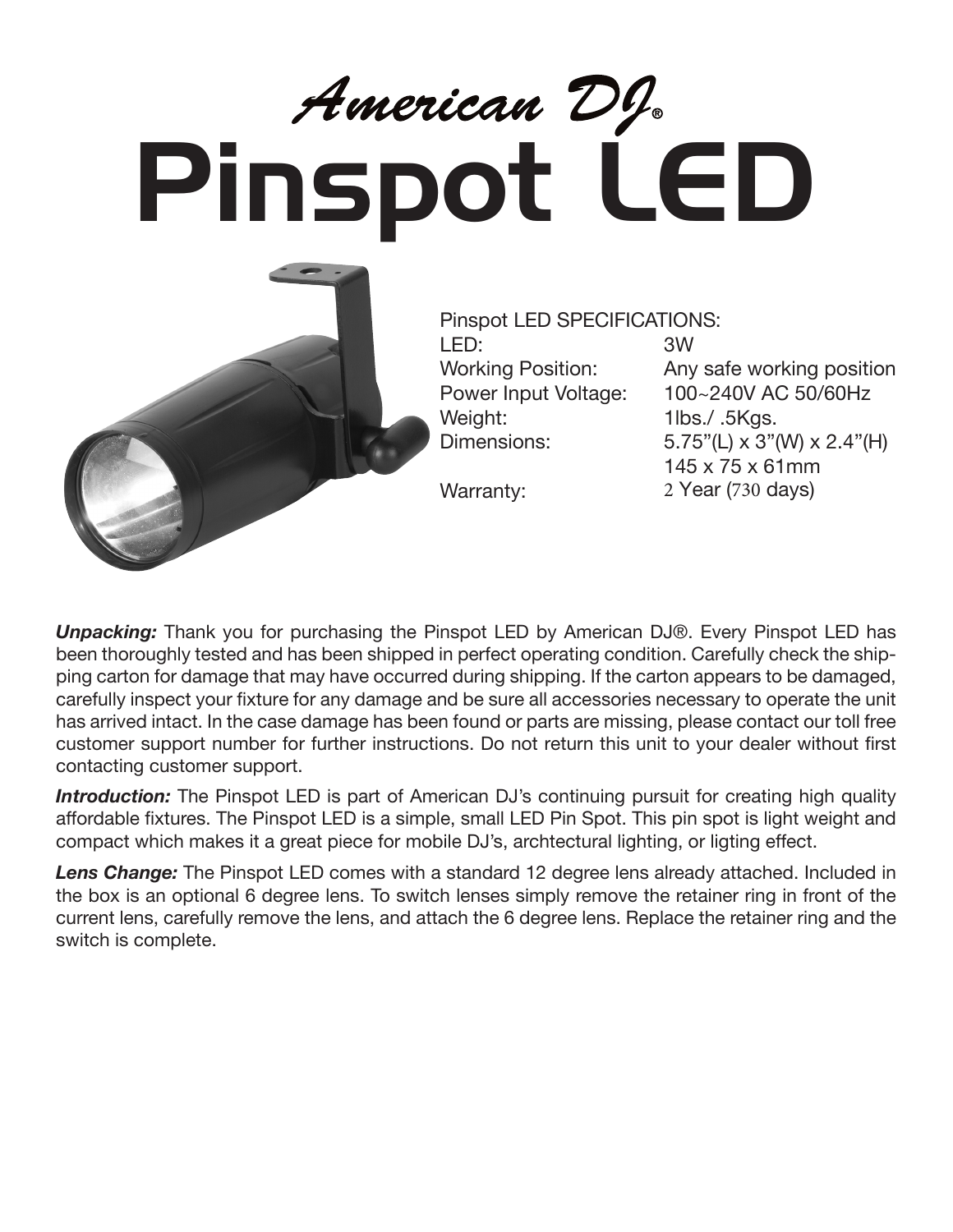## American DI<br>Pinspot LED



Pinspot LED SPECIFICATIONS: LED: 3W Weight: 1lbs./ .5Kgs.

Warranty:

Working Position: Any safe working position Power Input Voltage: 100~240V AC 50/60Hz Dimensions: 5.75"(L) x 3"(W) x 2.4"(H) 145 x 75 x 61mm 2 Year (730 days)

*Unpacking:* Thank you for purchasing the Pinspot LED by American DJ®. Every Pinspot LED has been thoroughly tested and has been shipped in perfect operating condition. Carefully check the shipping carton for damage that may have occurred during shipping. If the carton appears to be damaged, carefully inspect your fixture for any damage and be sure all accessories necessary to operate the unit has arrived intact. In the case damage has been found or parts are missing, please contact our toll free customer support number for further instructions. Do not return this unit to your dealer without first contacting customer support.

**Introduction:** The Pinspot LED is part of American DJ's continuing pursuit for creating high quality affordable fixtures. The Pinspot LED is a simple, small LED Pin Spot. This pin spot is light weight and compact which makes it a great piece for mobile DJ's, archtectural lighting, or ligting effect.

*Lens Change:* The Pinspot LED comes with a standard 12 degree lens already attached. Included in the box is an optional 6 degree lens. To switch lenses simply remove the retainer ring in front of the current lens, carefully remove the lens, and attach the 6 degree lens. Replace the retainer ring and the switch is complete.